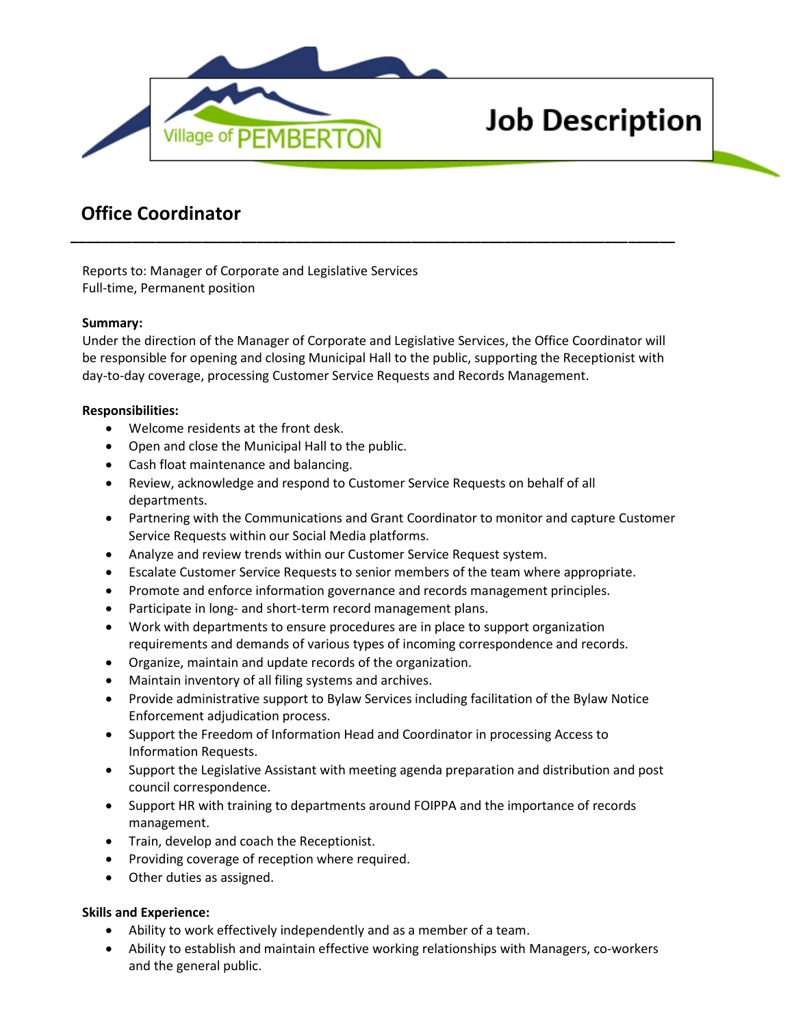

# **Job Description**

## **Office Coordinator**

Reports to: Manager of Corporate and Legislative Services Full-time, Permanent position

#### **Summary:**

Under the direction of the Manager of Corporate and Legislative Services, the Office Coordinator will be responsible for opening and closing Municipal Hall to the public, supporting the Receptionist with day-to-day coverage, processing Customer Service Requests and Records Management.

**\_\_\_\_\_\_\_\_\_\_\_\_\_\_\_\_\_\_\_\_\_\_\_\_\_\_\_\_\_\_\_\_\_\_\_\_\_\_\_\_\_\_\_\_\_\_\_\_\_\_\_\_\_\_\_\_\_\_\_\_\_\_\_\_\_\_\_\_\_\_\_\_\_\_\_\_\_\_**

#### **Responsibilities:**

- Welcome residents at the front desk.
- Open and close the Municipal Hall to the public.
- Cash float maintenance and balancing.
- Review, acknowledge and respond to Customer Service Requests on behalf of all departments.
- Partnering with the Communications and Grant Coordinator to monitor and capture Customer Service Requests within our Social Media platforms.
- Analyze and review trends within our Customer Service Request system.
- Escalate Customer Service Requests to senior members of the team where appropriate.
- Promote and enforce information governance and records management principles.
- Participate in long- and short-term record management plans.
- Work with departments to ensure procedures are in place to support organization requirements and demands of various types of incoming correspondence and records.
- Organize, maintain and update records of the organization.
- Maintain inventory of all filing systems and archives.
- Provide administrative support to Bylaw Services including facilitation of the Bylaw Notice Enforcement adjudication process.
- Support the Freedom of Information Head and Coordinator in processing Access to Information Requests.
- Support the Legislative Assistant with meeting agenda preparation and distribution and post council correspondence.
- Support HR with training to departments around FOIPPA and the importance of records management.
- Train, develop and coach the Receptionist.
- Providing coverage of reception where required.
- Other duties as assigned.

### **Skills and Experience:**

- Ability to work effectively independently and as a member of a team.
- Ability to establish and maintain effective working relationships with Managers, co-workers and the general public.